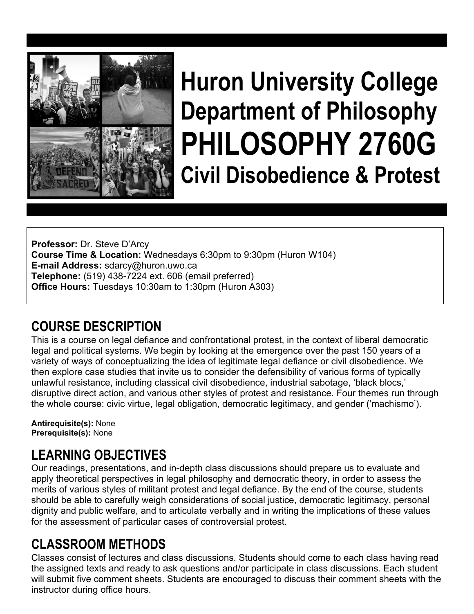

# **Huron University College Department of Philosophy PHILOSOPHY 2760G Civil Disobedience & Protest**

**Professor:** Dr. Steve D'Arcy **Course Time & Location:** Wednesdays 6:30pm to 9:30pm (Huron W104) **E-mail Address:** sdarcy@huron.uwo.ca **Telephone:** (519) 438-7224 ext. 606 (email preferred) **Office Hours:** Tuesdays 10:30am to 1:30pm (Huron A303)

# **COURSE DESCRIPTION**

This is a course on legal defiance and confrontational protest, in the context of liberal democratic legal and political systems. We begin by looking at the emergence over the past 150 years of a variety of ways of conceptualizing the idea of legitimate legal defiance or civil disobedience. We then explore case studies that invite us to consider the defensibility of various forms of typically unlawful resistance, including classical civil disobedience, industrial sabotage, 'black blocs,' disruptive direct action, and various other styles of protest and resistance. Four themes run through the whole course: civic virtue, legal obligation, democratic legitimacy, and gender ('machismo').

**Antirequisite(s):** None **Prerequisite(s):** None

# **LEARNING OBJECTIVES**

Our readings, presentations, and in-depth class discussions should prepare us to evaluate and apply theoretical perspectives in legal philosophy and democratic theory, in order to assess the merits of various styles of militant protest and legal defiance. By the end of the course, students should be able to carefully weigh considerations of social justice, democratic legitimacy, personal dignity and public welfare, and to articulate verbally and in writing the implications of these values for the assessment of particular cases of controversial protest.

# **CLASSROOM METHODS**

Classes consist of lectures and class discussions. Students should come to each class having read the assigned texts and ready to ask questions and/or participate in class discussions. Each student will submit five comment sheets. Students are encouraged to discuss their comment sheets with the instructor during office hours.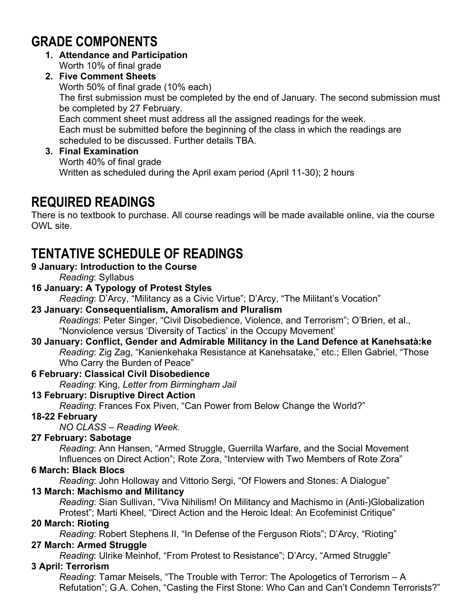# **GRADE COMPONENTS**

- **1. Attendance and Participation**  Worth 10% of final grade
- **2. Five Comment Sheets**  Worth 50% of final grade (10% each) The first submission must be completed by the end of January. The second submission must be completed by 27 February. Each comment sheet must address all the assigned readings for the week. Each must be submitted before the beginning of the class in which the readings are scheduled to be discussed. Further details TBA.
- **3. Final Examination**  Worth 40% of final grade Written as scheduled during the April exam period (April 11-30); 2 hours

# **REQUIRED READINGS**

There is no textbook to purchase. All course readings will be made available online, via the course OWL site.

# **TENTATIVE SCHEDULE OF READINGS**

### **9 January: Introduction to the Course**

*Reading*: Syllabus

### **16 January: A Typology of Protest Styles**

*Reading*: D'Arcy, "Militancy as a Civic Virtue"; D'Arcy, "The Militant's Vocation"

#### **23 January: Consequentialism, Amoralism and Pluralism**  *Readings*: Peter Singer, "Civil Disobedience, Violence, and Terrorism"; O'Brien, et al., "Nonviolence versus 'Diversity of Tactics' in the Occupy Movement'

### **30 January: Conflict, Gender and Admirable Militancy in the Land Defence at Kanehsatà:ke**  *Reading*: Zig Zag, "Kanienkehaka Resistance at Kanehsatake," etc.; Ellen Gabriel, "Those Who Carry the Burden of Peace"

## **6 February: Classical Civil Disobedience**

*Reading*: King, *Letter from Birmingham Jail*

## **13 February: Disruptive Direct Action**

*Reading*: Frances Fox Piven, "Can Power from Below Change the World?"

## **18-22 February**

*NO CLASS – Reading Week.* 

# **27 February: Sabotage**

*Reading*: Ann Hansen, "Armed Struggle, Guerrilla Warfare, and the Social Movement Influences on Direct Action"; Rote Zora, "Interview with Two Members of Rote Zora"

# **6 March: Black Blocs**

*Reading*: John Holloway and Vittorio Sergi, "Of Flowers and Stones: A Dialogue"

# **13 March: Machismo and Militancy**

*Reading*: Sian Sullivan, "Viva Nihilism! On Militancy and Machismo in (Anti-)Globalization Protest"; Marti Kheel, "Direct Action and the Heroic Ideal: An Ecofeminist Critique"

## **20 March: Rioting**

*Reading*: Robert Stephens II, "In Defense of the Ferguson Riots"; D'Arcy, "Rioting"

# **27 March: Armed Struggle**

*Reading*: Ulrike Meinhof, "From Protest to Resistance"; D'Arcy, "Armed Struggle"

# **3 April: Terrorism**

*Reading*: Tamar Meisels, "The Trouble with Terror: The Apologetics of Terrorism – A Refutation"; G.A. Cohen, "Casting the First Stone: Who Can and Can't Condemn Terrorists?"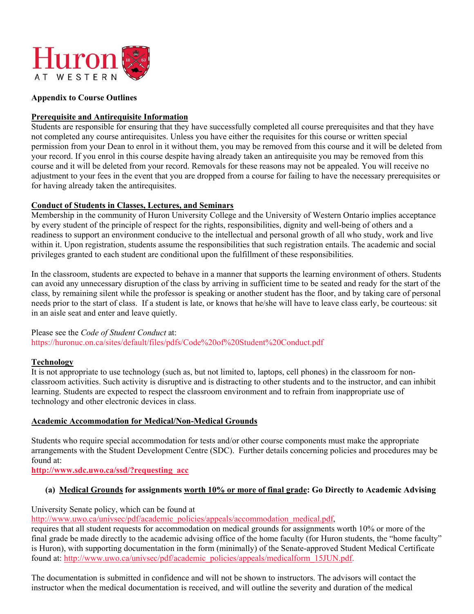

#### **Appendix to Course Outlines**

#### **Prerequisite and Antirequisite Information**

Students are responsible for ensuring that they have successfully completed all course prerequisites and that they have not completed any course antirequisites. Unless you have either the requisites for this course or written special permission from your Dean to enrol in it without them, you may be removed from this course and it will be deleted from your record. If you enrol in this course despite having already taken an antirequisite you may be removed from this course and it will be deleted from your record. Removals for these reasons may not be appealed. You will receive no adjustment to your fees in the event that you are dropped from a course for failing to have the necessary prerequisites or for having already taken the antirequisites.

#### **Conduct of Students in Classes, Lectures, and Seminars**

Membership in the community of Huron University College and the University of Western Ontario implies acceptance by every student of the principle of respect for the rights, responsibilities, dignity and well-being of others and a readiness to support an environment conducive to the intellectual and personal growth of all who study, work and live within it. Upon registration, students assume the responsibilities that such registration entails. The academic and social privileges granted to each student are conditional upon the fulfillment of these responsibilities.

In the classroom, students are expected to behave in a manner that supports the learning environment of others. Students can avoid any unnecessary disruption of the class by arriving in sufficient time to be seated and ready for the start of the class, by remaining silent while the professor is speaking or another student has the floor, and by taking care of personal needs prior to the start of class. If a student is late, or knows that he/she will have to leave class early, be courteous: sit in an aisle seat and enter and leave quietly.

#### Please see the *Code of Student Conduct* at: https://huronuc.on.ca/sites/default/files/pdfs/Code%20of%20Student%20Conduct.pdf

#### **Technology**

It is not appropriate to use technology (such as, but not limited to, laptops, cell phones) in the classroom for nonclassroom activities. Such activity is disruptive and is distracting to other students and to the instructor, and can inhibit learning. Students are expected to respect the classroom environment and to refrain from inappropriate use of technology and other electronic devices in class.

#### **Academic Accommodation for Medical/Non-Medical Grounds**

Students who require special accommodation for tests and/or other course components must make the appropriate arrangements with the Student Development Centre (SDC). Further details concerning policies and procedures may be found at:

**http://www.sdc.uwo.ca/ssd/?requesting\_acc**

#### **(a) Medical Grounds for assignments worth 10% or more of final grade: Go Directly to Academic Advising**

University Senate policy, which can be found at

http://www.uwo.ca/univsec/pdf/academic\_policies/appeals/accommodation\_medical.pdf,

requires that all student requests for accommodation on medical grounds for assignments worth 10% or more of the final grade be made directly to the academic advising office of the home faculty (for Huron students, the "home faculty" is Huron), with supporting documentation in the form (minimally) of the Senate-approved Student Medical Certificate found at: http://www.uwo.ca/univsec/pdf/academic\_policies/appeals/medicalform\_15JUN.pdf.

The documentation is submitted in confidence and will not be shown to instructors. The advisors will contact the instructor when the medical documentation is received, and will outline the severity and duration of the medical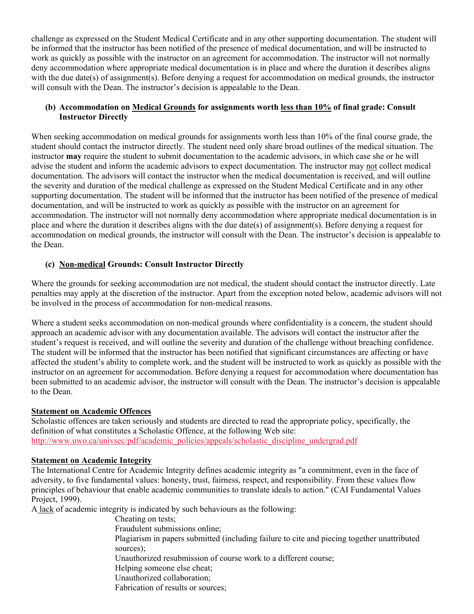challenge as expressed on the Student Medical Certificate and in any other supporting documentation. The student will be informed that the instructor has been notified of the presence of medical documentation, and will be instructed to work as quickly as possible with the instructor on an agreement for accommodation. The instructor will not normally deny accommodation where appropriate medical documentation is in place and where the duration it describes aligns with the due date(s) of assignment(s). Before denying a request for accommodation on medical grounds, the instructor will consult with the Dean. The instructor's decision is appealable to the Dean.

#### **(b) Accommodation on Medical Grounds for assignments worth less than 10% of final grade: Consult Instructor Directly**

When seeking accommodation on medical grounds for assignments worth less than 10% of the final course grade, the student should contact the instructor directly. The student need only share broad outlines of the medical situation. The instructor **may** require the student to submit documentation to the academic advisors, in which case she or he will advise the student and inform the academic advisors to expect documentation. The instructor may not collect medical documentation. The advisors will contact the instructor when the medical documentation is received, and will outline the severity and duration of the medical challenge as expressed on the Student Medical Certificate and in any other supporting documentation. The student will be informed that the instructor has been notified of the presence of medical documentation, and will be instructed to work as quickly as possible with the instructor on an agreement for accommodation. The instructor will not normally deny accommodation where appropriate medical documentation is in place and where the duration it describes aligns with the due date(s) of assignment(s). Before denying a request for accommodation on medical grounds, the instructor will consult with the Dean. The instructor's decision is appealable to the Dean.

#### **(c) Non-medical Grounds: Consult Instructor Directly**

Where the grounds for seeking accommodation are not medical, the student should contact the instructor directly. Late penalties may apply at the discretion of the instructor. Apart from the exception noted below, academic advisors will not be involved in the process of accommodation for non-medical reasons.

Where a student seeks accommodation on non-medical grounds where confidentiality is a concern, the student should approach an academic advisor with any documentation available. The advisors will contact the instructor after the student's request is received, and will outline the severity and duration of the challenge without breaching confidence. The student will be informed that the instructor has been notified that significant circumstances are affecting or have affected the student's ability to complete work, and the student will be instructed to work as quickly as possible with the instructor on an agreement for accommodation. Before denying a request for accommodation where documentation has been submitted to an academic advisor, the instructor will consult with the Dean. The instructor's decision is appealable to the Dean.

#### **Statement on Academic Offences**

Scholastic offences are taken seriously and students are directed to read the appropriate policy, specifically, the definition of what constitutes a Scholastic Offence, at the following Web site: http://www.uwo.ca/univsec/pdf/academic\_policies/appeals/scholastic\_discipline\_undergrad.pdf

#### **Statement on Academic Integrity**

The International Centre for Academic Integrity defines academic integrity as "a commitment, even in the face of adversity, to five fundamental values: honesty, trust, fairness, respect, and responsibility. From these values flow principles of behaviour that enable academic communities to translate ideals to action." (CAI Fundamental Values Project, 1999).

A lack of academic integrity is indicated by such behaviours as the following:

Cheating on tests;

Fraudulent submissions online;

Plagiarism in papers submitted (including failure to cite and piecing together unattributed sources);

Unauthorized resubmission of course work to a different course;

Helping someone else cheat;

Unauthorized collaboration;

Fabrication of results or sources;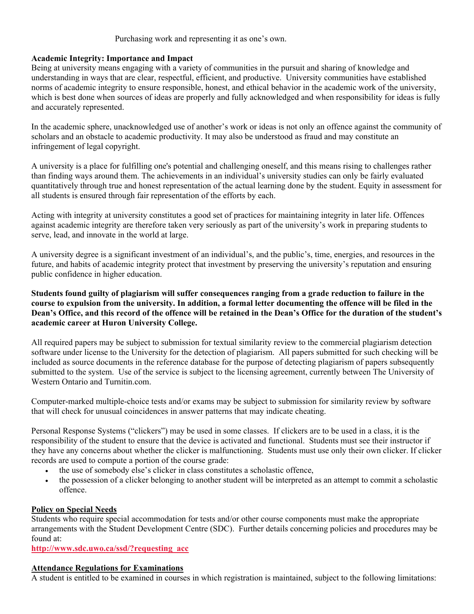#### Purchasing work and representing it as one's own.

#### **Academic Integrity: Importance and Impact**

Being at university means engaging with a variety of communities in the pursuit and sharing of knowledge and understanding in ways that are clear, respectful, efficient, and productive. University communities have established norms of academic integrity to ensure responsible, honest, and ethical behavior in the academic work of the university, which is best done when sources of ideas are properly and fully acknowledged and when responsibility for ideas is fully and accurately represented.

In the academic sphere, unacknowledged use of another's work or ideas is not only an offence against the community of scholars and an obstacle to academic productivity. It may also be understood as fraud and may constitute an infringement of legal copyright.

A university is a place for fulfilling one's potential and challenging oneself, and this means rising to challenges rather than finding ways around them. The achievements in an individual's university studies can only be fairly evaluated quantitatively through true and honest representation of the actual learning done by the student. Equity in assessment for all students is ensured through fair representation of the efforts by each.

Acting with integrity at university constitutes a good set of practices for maintaining integrity in later life. Offences against academic integrity are therefore taken very seriously as part of the university's work in preparing students to serve, lead, and innovate in the world at large.

A university degree is a significant investment of an individual's, and the public's, time, energies, and resources in the future, and habits of academic integrity protect that investment by preserving the university's reputation and ensuring public confidence in higher education.

**Students found guilty of plagiarism will suffer consequences ranging from a grade reduction to failure in the course to expulsion from the university. In addition, a formal letter documenting the offence will be filed in the Dean's Office, and this record of the offence will be retained in the Dean's Office for the duration of the student's academic career at Huron University College.**

All required papers may be subject to submission for textual similarity review to the commercial plagiarism detection software under license to the University for the detection of plagiarism. All papers submitted for such checking will be included as source documents in the reference database for the purpose of detecting plagiarism of papers subsequently submitted to the system. Use of the service is subject to the licensing agreement, currently between The University of Western Ontario and Turnitin.com.

Computer-marked multiple-choice tests and/or exams may be subject to submission for similarity review by software that will check for unusual coincidences in answer patterns that may indicate cheating.

Personal Response Systems ("clickers") may be used in some classes. If clickers are to be used in a class, it is the responsibility of the student to ensure that the device is activated and functional. Students must see their instructor if they have any concerns about whether the clicker is malfunctioning. Students must use only their own clicker. If clicker records are used to compute a portion of the course grade:

- the use of somebody else's clicker in class constitutes a scholastic offence,
- the possession of a clicker belonging to another student will be interpreted as an attempt to commit a scholastic offence.

#### **Policy on Special Needs**

Students who require special accommodation for tests and/or other course components must make the appropriate arrangements with the Student Development Centre (SDC). Further details concerning policies and procedures may be found at:

**http://www.sdc.uwo.ca/ssd/?requesting\_acc** 

#### **Attendance Regulations for Examinations**

A student is entitled to be examined in courses in which registration is maintained, subject to the following limitations: